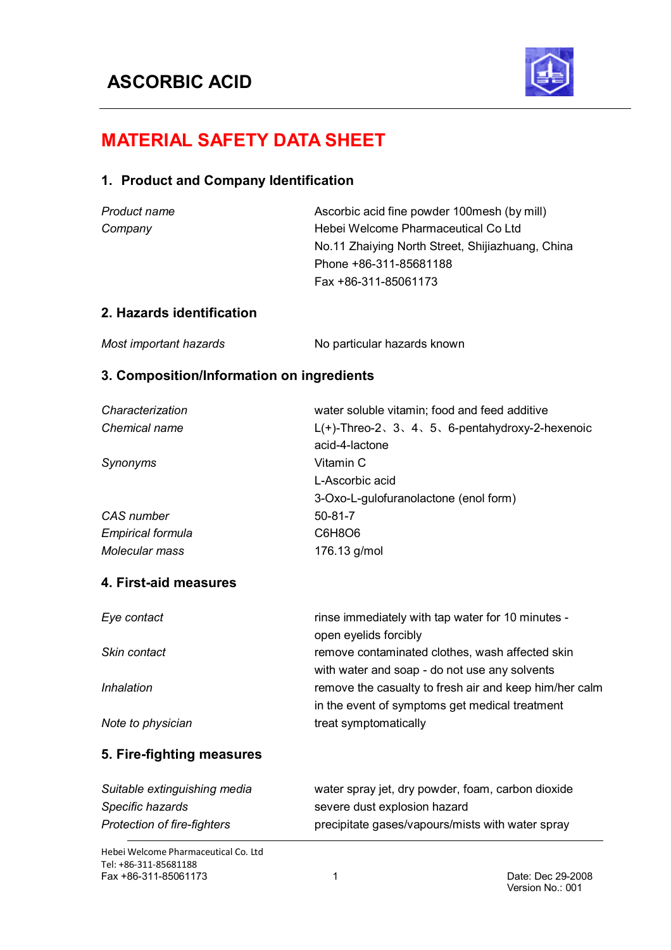

# **MATERIAL SAFETY DATA SHEET**

# **1. Product and Company Identification**

| Product name | Ascorbic acid fine powder 100 mesh (by mill)     |
|--------------|--------------------------------------------------|
| Company      | Hebei Welcome Pharmaceutical Co Ltd              |
|              | No.11 Zhaiying North Street, Shijiazhuang, China |
|              | Phone +86-311-85681188                           |
|              | Fax +86-311-85061173                             |
|              |                                                  |

# **2. Hazards identification**

| Most important hazards | No particular hazards known |
|------------------------|-----------------------------|
|------------------------|-----------------------------|

### **3. Composition/Information on ingredients**

| Characterization             | water soluble vitamin; food and feed additive                                                    |
|------------------------------|--------------------------------------------------------------------------------------------------|
| Chemical name                | $L(+)$ -Threo-2, 3, 4, 5, 6-pentahydroxy-2-hexenoic                                              |
|                              | acid-4-lactone                                                                                   |
| Synonyms                     | Vitamin C                                                                                        |
|                              | L-Ascorbic acid                                                                                  |
|                              | 3-Oxo-L-gulofuranolactone (enol form)                                                            |
| CAS number                   | $50 - 81 - 7$                                                                                    |
| <b>Empirical formula</b>     | C6H8O6                                                                                           |
| Molecular mass               | 176.13 g/mol                                                                                     |
| 4. First-aid measures        |                                                                                                  |
| Eye contact                  | rinse immediately with tap water for 10 minutes -<br>open eyelids forcibly                       |
| Skin contact                 | remove contaminated clothes, wash affected skin<br>with water and soap - do not use any solvents |
| Inhalation                   | remove the casualty to fresh air and keep him/her calm                                           |
|                              | in the event of symptoms get medical treatment                                                   |
| Note to physician            | treat symptomatically                                                                            |
| 5. Fire-fighting measures    |                                                                                                  |
| Suitable extinguishing media | water spray jet, dry powder, foam, carbon dioxide                                                |
| Specific hazards             | severe dust explosion hazard                                                                     |

*Protection of fire-fighters* precipitate gases/vapours/mists with water spray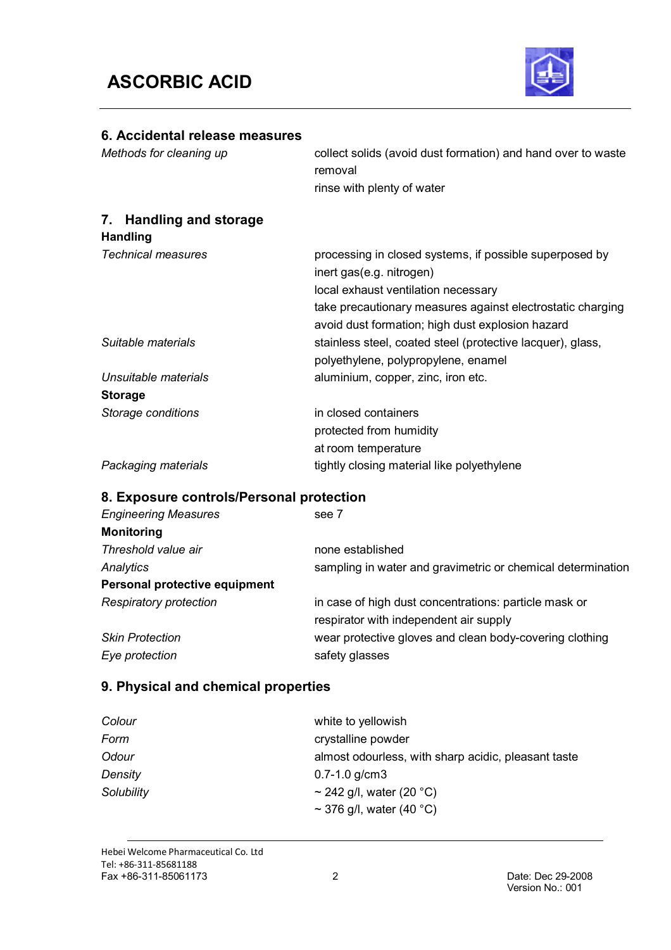

# **6. Accidental release measures** *Methods for cleaning up* collect solids (avoid dust formation) and hand over to waste removal rinse with plenty of water **7. Handling and storage Handling** *Technical measures* **processing in closed systems, if possible superposed by** inert gas(e.g. nitrogen) local exhaust ventilation necessary take precautionary measures against electrostatic charging avoid dust formation; high dust explosion hazard **Suitable materials** stainless steel, coated steel (protective lacquer), glass, polyethylene, polypropylene, enamel *Unsuitable materials* aluminium, copper, zinc, iron etc. **Storage** *Storage conditions* in closed containers protected from humidity at room temperature **Packaging materials** tightly closing material like polyethylene

#### **8. Exposure controls/Personal protection**

| <b>Engineering Measures</b>   | see 7                                                       |
|-------------------------------|-------------------------------------------------------------|
| <b>Monitoring</b>             |                                                             |
| Threshold value air           | none established                                            |
| Analytics                     | sampling in water and gravimetric or chemical determination |
| Personal protective equipment |                                                             |
| <b>Respiratory protection</b> | in case of high dust concentrations: particle mask or       |
|                               | respirator with independent air supply                      |
| <b>Skin Protection</b>        | wear protective gloves and clean body-covering clothing     |
| Eye protection                | safety glasses                                              |

### **9. Physical and chemical properties**

| Colour     | white to yellowish                                  |
|------------|-----------------------------------------------------|
| Form       | crystalline powder                                  |
| Odour      | almost odourless, with sharp acidic, pleasant taste |
| Density    | $0.7 - 1.0$ g/cm3                                   |
| Solubility | ~ 242 g/l, water (20 $^{\circ}$ C)                  |
|            | ~ 376 g/l, water (40 $^{\circ}$ C)                  |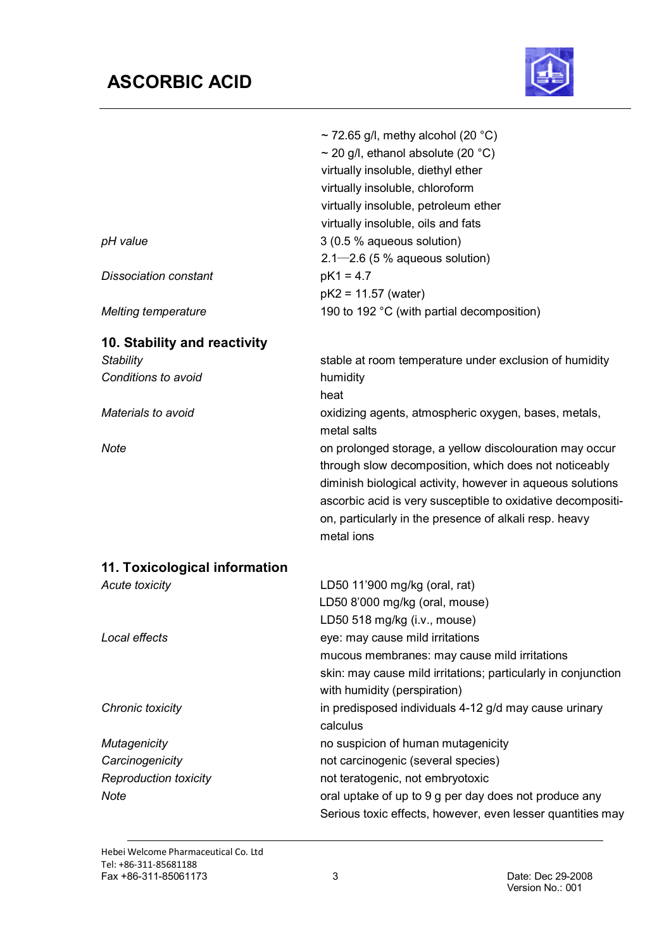# **ASCORBIC ACID**



|                                         | $\sim$ 72.65 g/l, methy alcohol (20 °C)<br>$\sim$ 20 g/l, ethanol absolute (20 °C)<br>virtually insoluble, diethyl ether<br>virtually insoluble, chloroform<br>virtually insoluble, petroleum ether<br>virtually insoluble, oils and fats                                                                             |
|-----------------------------------------|-----------------------------------------------------------------------------------------------------------------------------------------------------------------------------------------------------------------------------------------------------------------------------------------------------------------------|
| pH value                                | 3 (0.5 % aqueous solution)<br>$2.1 - 2.6$ (5 % aqueous solution)                                                                                                                                                                                                                                                      |
| <b>Dissociation constant</b>            | $pK1 = 4.7$<br>$pK2 = 11.57$ (water)                                                                                                                                                                                                                                                                                  |
| <b>Melting temperature</b>              | 190 to 192 °C (with partial decomposition)                                                                                                                                                                                                                                                                            |
| 10. Stability and reactivity            |                                                                                                                                                                                                                                                                                                                       |
| <b>Stability</b><br>Conditions to avoid | stable at room temperature under exclusion of humidity<br>humidity<br>heat                                                                                                                                                                                                                                            |
| Materials to avoid                      | oxidizing agents, atmospheric oxygen, bases, metals,<br>metal salts                                                                                                                                                                                                                                                   |
| <b>Note</b>                             | on prolonged storage, a yellow discolouration may occur<br>through slow decomposition, which does not noticeably<br>diminish biological activity, however in aqueous solutions<br>ascorbic acid is very susceptible to oxidative decompositi-<br>on, particularly in the presence of alkali resp. heavy<br>metal ions |
| 11. Toxicological information           |                                                                                                                                                                                                                                                                                                                       |
| <b>Acute toxicity</b>                   | LD50 11'900 mg/kg (oral, rat)<br>LD50 8'000 mg/kg (oral, mouse)<br>LD50 518 mg/kg (i.v., mouse)                                                                                                                                                                                                                       |
| Local effects                           | eye: may cause mild irritations<br>mucous membranes: may cause mild irritations<br>skin: may cause mild irritations; particularly in conjunction<br>with humidity (perspiration)                                                                                                                                      |
| Chronic toxicity                        | in predisposed individuals 4-12 g/d may cause urinary<br>calculus                                                                                                                                                                                                                                                     |
| <b>Mutagenicity</b>                     | no suspicion of human mutagenicity                                                                                                                                                                                                                                                                                    |
| Carcinogenicity                         | not carcinogenic (several species)                                                                                                                                                                                                                                                                                    |
| <b>Reproduction toxicity</b>            | not teratogenic, not embryotoxic                                                                                                                                                                                                                                                                                      |
| Note                                    | oral uptake of up to 9 g per day does not produce any                                                                                                                                                                                                                                                                 |
|                                         | Serious toxic effects, however, even lesser quantities may                                                                                                                                                                                                                                                            |